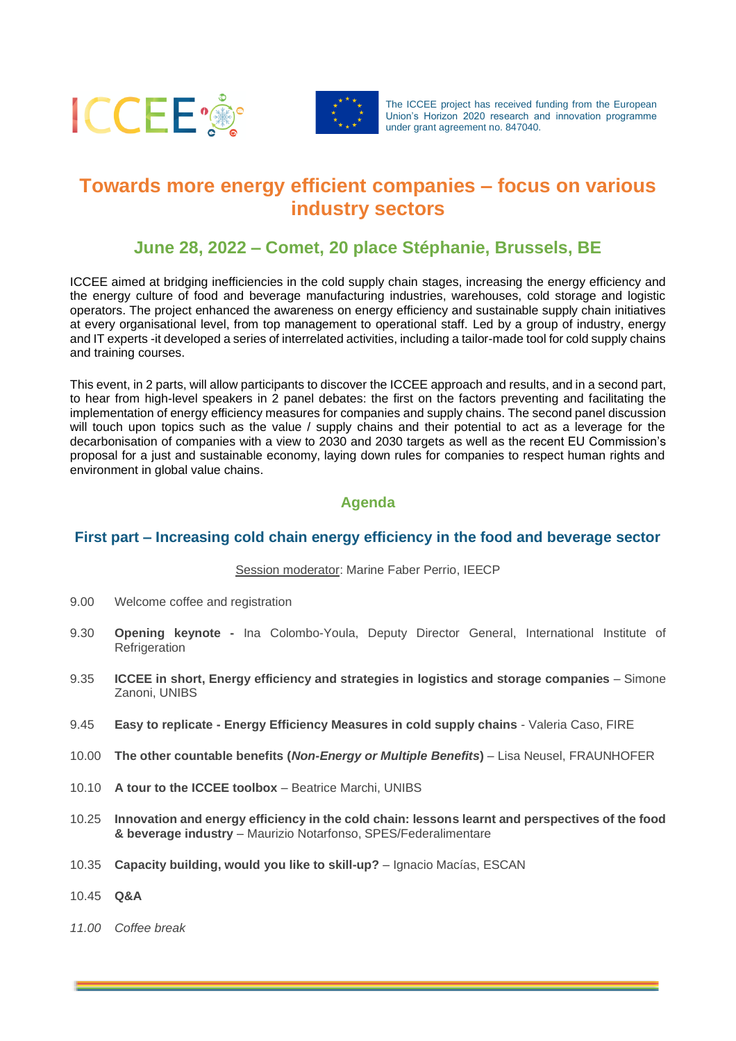



The ICCEE project has received funding from the European Union's Horizon 2020 research and innovation programme under grant agreement no. 847040.

# **Towards more energy efficient companies – focus on various industry sectors**

# **June 28, 2022 – Comet, 20 place Stéphanie, Brussels, BE**

ICCEE aimed at bridging inefficiencies in the cold supply chain stages, increasing the energy efficiency and the energy culture of food and beverage manufacturing industries, warehouses, cold storage and logistic operators. The project enhanced the awareness on energy efficiency and sustainable supply chain initiatives at every organisational level, from top management to operational staff. Led by a group of industry, energy and IT experts -it developed a series of interrelated activities, including a tailor-made tool for cold supply chains and training courses.

This event, in 2 parts, will allow participants to discover the ICCEE approach and results, and in a second part, to hear from high-level speakers in 2 panel debates: the first on the factors preventing and facilitating the implementation of energy efficiency measures for companies and supply chains. The second panel discussion will touch upon topics such as the value / supply chains and their potential to act as a leverage for the decarbonisation of companies with a view to 2030 and 2030 targets as well as the recent EU Commission's proposal for a just and sustainable economy, laying down rules for companies to respect human rights and environment in global value chains.

# **Agenda**

### **First part – Increasing cold chain energy efficiency in the food and beverage sector**

#### Session moderator: Marine Faber Perrio, IEECP

- 9.00 Welcome coffee and registration
- 9.30 **Opening keynote -** Ina Colombo-Youla, Deputy Director General, International Institute of **Refrigeration**
- 9.35 **ICCEE in short, Energy efficiency and strategies in logistics and storage companies** Simone Zanoni, UNIBS
- 9.45 **Easy to replicate - Energy Efficiency Measures in cold supply chains** Valeria Caso, FIRE
- 10.00 **The other countable benefits (***Non-Energy or Multiple Benefits***)** Lisa Neusel, FRAUNHOFER
- 10.10 A tour to the ICCEE toolbox Beatrice Marchi, UNIBS
- 10.25 **Innovation and energy efficiency in the cold chain: lessons learnt and perspectives of the food & beverage industry** – Maurizio Notarfonso, SPES/Federalimentare
- 10.35 **Capacity building, would you like to skill-up?** Ignacio Macías, ESCAN
- 10.45 **Q&A**
- *11.00 Coffee break*